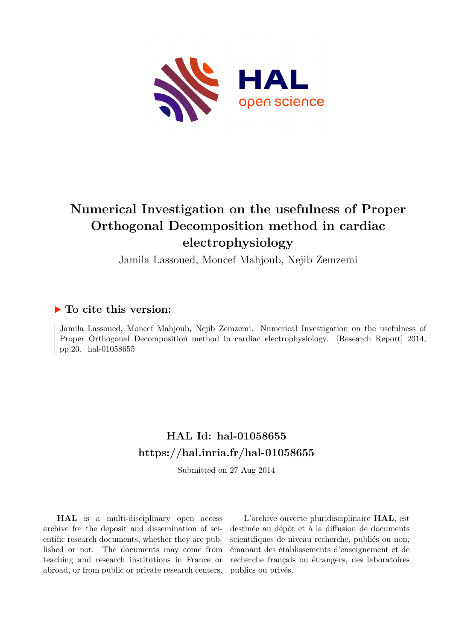

# **Numerical Investigation on the usefulness of Proper Orthogonal Decomposition method in cardiac electrophysiology**

Jamila Lassoued, Moncef Mahjoub, Nejib Zemzemi

# **To cite this version:**

Jamila Lassoued, Moncef Mahjoub, Nejib Zemzemi. Numerical Investigation on the usefulness of Proper Orthogonal Decomposition method in cardiac electrophysiology. [Research Report] 2014, pp.20. hal-01058655

# **HAL Id: hal-01058655 <https://hal.inria.fr/hal-01058655>**

Submitted on 27 Aug 2014

**HAL** is a multi-disciplinary open access archive for the deposit and dissemination of scientific research documents, whether they are published or not. The documents may come from teaching and research institutions in France or abroad, or from public or private research centers.

L'archive ouverte pluridisciplinaire **HAL**, est destinée au dépôt et à la diffusion de documents scientifiques de niveau recherche, publiés ou non, émanant des établissements d'enseignement et de recherche français ou étrangers, des laboratoires publics ou privés.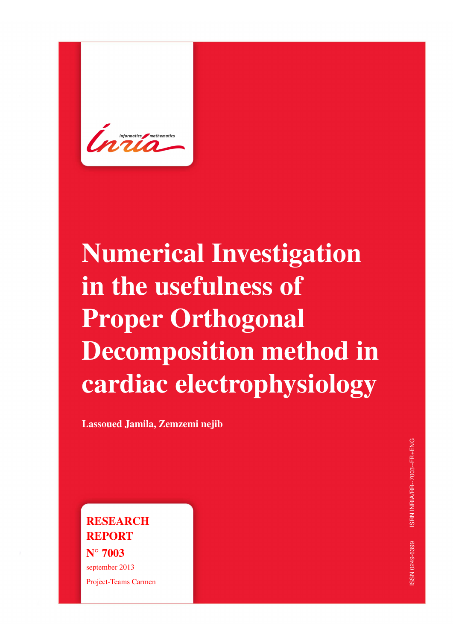<span id="page-1-0"></span>

# Numerical Investigation in the usefulness of Proper Orthogonal Decomposition method in cardiac electrophysiology

Lassoued Jamila, Zemzemi nejib

**RESEARCH** REPORT N° 7003 september 2013 Project-Teams Carmen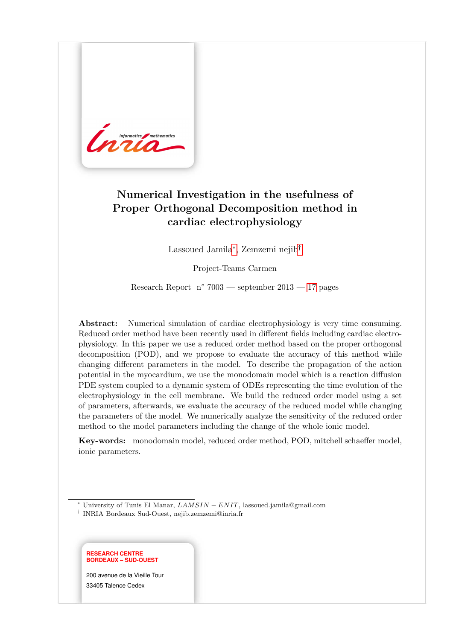

# **Numerical Investigation in the usefulness of Proper Orthogonal Decomposition method in cardiac electrophysiology**

Lassoued Jamila[∗](#page-1-0) , Zemzemi nejib[†](#page-1-0)

Project-Teams Carmen

Research Report n° 7003 — september 2013 — [17](#page-20-0) pages

**Abstract:** Numerical simulation of cardiac electrophysiology is very time consuming. Reduced order method have been recently used in different fields including cardiac electrophysiology. In this paper we use a reduced order method based on the proper orthogonal decomposition (POD), and we propose to evaluate the accuracy of this method while changing different parameters in the model. To describe the propagation of the action potential in the myocardium, we use the monodomain model which is a reaction diffusion PDE system coupled to a dynamic system of ODEs representing the time evolution of the electrophysiology in the cell membrane. We build the reduced order model using a set of parameters, afterwards, we evaluate the accuracy of the reduced model while changing the parameters of the model. We numerically analyze the sensitivity of the reduced order method to the model parameters including the change of the whole ionic model.

**Key-words:** monodomain model, reduced order method, POD, mitchell schaeffer model, ionic parameters.

<sup>†</sup> INRIA Bordeaux Sud-Ouest, nejib.zemzemi@inria.fr



200 avenue de la Vieille Tour 33405 Talence Cedex

<sup>∗</sup> University of Tunis El Manar, *LAMSIN* − *ENIT*, lassoued.jamila@gmail.com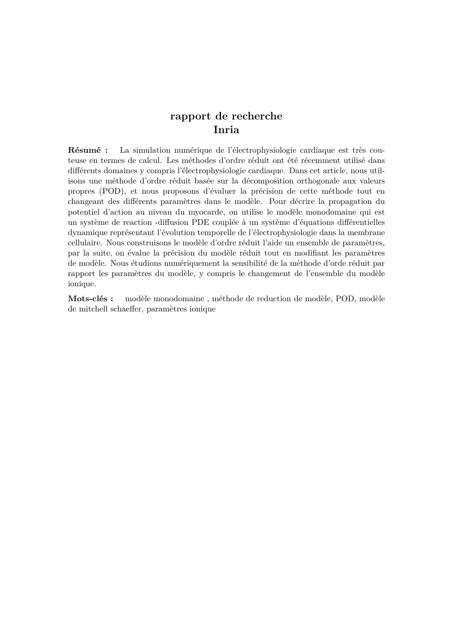# **rapport de recherche Inria**

**Résumé :** La simulation numérique de l'électrophysiologie cardiaque est très couteuse en termes de calcul. Les méthodes d'ordre réduit ont été récemment utilisé dans différents domaines y compris l'électrophysiologie cardiaque. Dans cet article, nous utilisons une méthode d'ordre réduit basée sur la décomposition orthogonale aux valeurs propres (POD), et nous proposons d'évaluer la précision de cette méthode tout en changeant des différents paramètres dans le modèle. Pour décrire la propagation du potentiel d'action au niveau du myocarde, on utilise le modèle monodomaine qui est un système de reaction -diffusion PDE couplée à un système d'équations différentielles dynamique représentant l'évolution temporelle de l'électrophysiologie dans la membrane cellulaire. Nous construisons le modèle d'ordre réduit l'aide un ensemble de paramètres, par la suite, on évalue la précision du modèle réduit tout en modifiant les paramètres de modèle. Nous étudions numériquement la sensibilité de la méthode d'orde réduit par rapport les paramètres du modèle, y compris le changement de l'ensemble du modèle ionique.

**Mots-clés :** modèle monodomaine, méthode de reduction de modèle, POD, modèle de mitchell schaeffer, param`etres ionique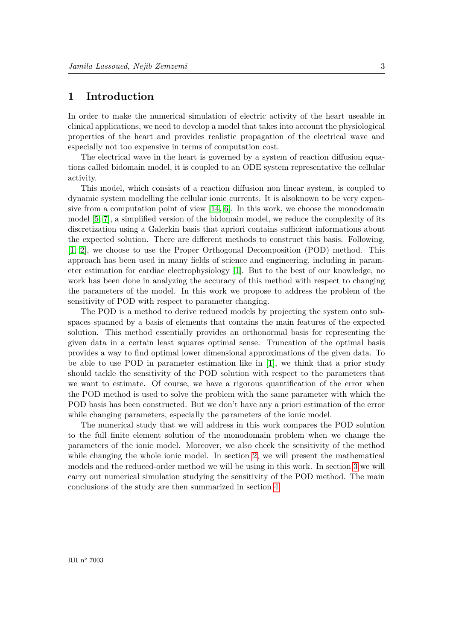# <span id="page-5-0"></span>**1 Introduction**

In order to make the numerical simulation of electric activity of the heart useable in clinical applications, we need to develop a model that takes into account the physiological properties of the heart and provides realistic propagation of the electrical wave and especially not too expensive in terms of computation cost.

The electrical wave in the heart is governed by a system of reaction diffusion equations called bidomain model, it is coupled to an ODE system representative the cellular activity.

This model, which consists of a reaction diffusion non linear system, is coupled to dynamic system modelling the cellular ionic currents. It is alsoknown to be very expensive from a computation point of view  $[14, 6]$  $[14, 6]$ . In this work, we choose the monodomain model [\[5,](#page-17-1) [7\]](#page-17-2), a simplified version of the bidomain model, we reduce the complexity of its discretization using a Galerkin basis that apriori contains sufficient informations about the expected solution. There are different methods to construct this basis. Following, [\[1,](#page-17-3) [2\]](#page-17-4), we choose to use the Proper Orthogonal Decomposition (POD) method. This approach has been used in many fields of science and engineering, including in parameter estimation for cardiac electrophysiology [\[1\]](#page-17-3). But to the best of our knowledge, no work has been done in analyzing the accuracy of this method with respect to changing the parameters of the model. In this work we propose to address the problem of the sensitivity of POD with respect to parameter changing.

The POD is a method to derive reduced models by projecting the system onto subspaces spanned by a basis of elements that contains the main features of the expected solution. This method essentially provides an orthonormal basis for representing the given data in a certain least squares optimal sense. Truncation of the optimal basis provides a way to find optimal lower dimensional approximations of the given data. To be able to use POD in parameter estimation like in [\[1\]](#page-17-3), we think that a prior study should tackle the sensitivity of the POD solution with respect to the parameters that we want to estimate. Of course, we have a rigorous quantification of the error when the POD method is used to solve the problem with the same parameter with which the POD basis has been constructed. But we don't have any a priori estimation of the error while changing parameters, especially the parameters of the ionic model.

The numerical study that we will address in this work compares the POD solution to the full finite element solution of the monodomain problem when we change the parameters of the ionic model. Moreover, we also check the sensitivity of the method while changing the whole ionic model. In section [2,](#page-6-0) we will present the mathematical models and the reduced-order method we will be using in this work. In section [3](#page-11-0) we will carry out numerical simulation studying the sensitivity of the POD method. The main conclusions of the study are then summarized in section [4.](#page-16-0)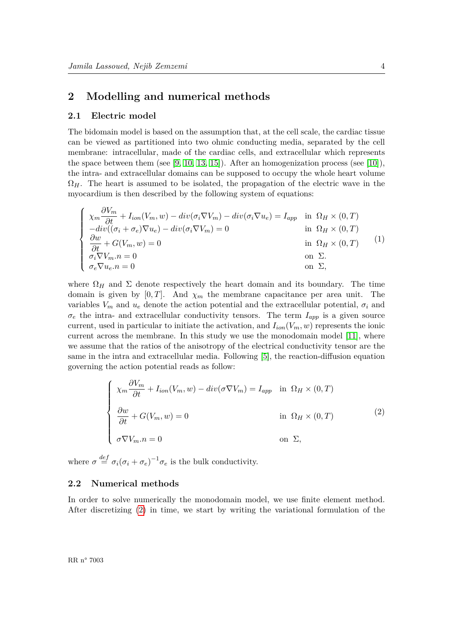# <span id="page-6-0"></span>**2 Modelling and numerical methods**

#### <span id="page-6-2"></span>**2.1 Electric model**

*∂V<sup>m</sup>*

The bidomain model is based on the assumption that, at the cell scale, the cardiac tissue can be viewed as partitioned into two ohmic conducting media, separated by the cell membrane: intracellular, made of the cardiac cells, and extracellular which represents the space between them (see [\[9,](#page-18-1) [10,](#page-18-2) [13,](#page-18-3) [15\]](#page-18-4)). After an homogenization process (see [\[10\]](#page-18-2)), the intra- and extracellular domains can be supposed to occupy the whole heart volume  $\Omega$ <sub>*H*</sub>. The heart is assumed to be isolated, the propagation of the electric wave in the myocardium is then described by the following system of equations:

$$
\begin{cases}\n\chi_m \frac{\partial V_m}{\partial t} + I_{ion}(V_m, w) - div(\sigma_i \nabla V_m) - div(\sigma_i \nabla u_e) = I_{app} & \text{in } \Omega_H \times (0, T) \\
-div((\sigma_i + \sigma_e) \nabla u_e) - div(\sigma_i \nabla V_m) = 0 & \text{in } \Omega_H \times (0, T) \\
\frac{\partial w}{\partial t} + G(V_m, w) = 0 & \text{in } \Omega_H \times (0, T) \\
\frac{\partial v}{\partial t} \nabla V_m . n = 0 & \text{on } \Sigma. \\
\sigma_e \nabla u_e . n = 0 & \text{on } \Sigma,\n\end{cases}
$$
\n(1)

where  $\Omega_H$  and  $\Sigma$  denote respectively the heart domain and its boundary. The time domain is given by  $[0, T]$ . And  $\chi_m$  the membrane capacitance per area unit. The variables  $V_m$  and  $u_e$  denote the action potential and the extracellular potential,  $\sigma_i$  and  $\sigma_e$  the intra- and extracellular conductivity tensors. The term  $I_{app}$  is a given source current, used in particular to initiate the activation, and  $I_{ion}(V_m, w)$  represents the ionic current across the membrane. In this study we use the monodomain model [\[11\]](#page-18-5), where we assume that the ratios of the anisotropy of the electrical conductivity tensor are the same in the intra and extracellular media. Following [\[5\]](#page-17-1), the reaction-diffusion equation governing the action potential reads as follow:

<span id="page-6-1"></span>
$$
\begin{cases}\n\chi_m \frac{\partial V_m}{\partial t} + I_{ion}(V_m, w) - div(\sigma \nabla V_m) = I_{app} & \text{in } \Omega_H \times (0, T) \\
\frac{\partial w}{\partial t} + G(V_m, w) = 0 & \text{in } \Omega_H \times (0, T) \\
\sigma \nabla V_m . n = 0 & \text{on } \Sigma,\n\end{cases}
$$
\n(2)

where  $\sigma \stackrel{def}{=} \sigma_i(\sigma_i + \sigma_e)^{-1} \sigma_e$  is the bulk conductivity.

#### <span id="page-6-3"></span>**2.2 Numerical methods**

In order to solve numerically the monodomain model, we use finite element method. After discretizing [\(2\)](#page-6-1) in time, we start by writing the variational formulation of the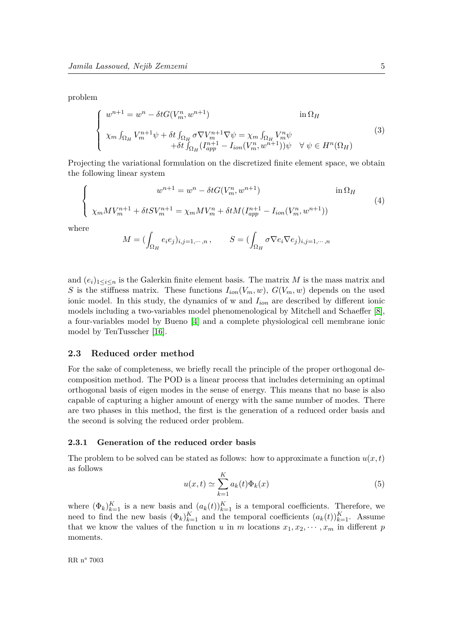problem

<span id="page-7-1"></span>
$$
\begin{cases}\nw^{n+1} = w^n - \delta t G(V_m^n, w^{n+1}) & \text{in } \Omega_H \\
\chi_m \int_{\Omega_H} V_m^{n+1} \psi + \delta t \int_{\Omega_H} \sigma \nabla V_m^{n+1} \nabla \psi = \chi_m \int_{\Omega_H} V_m^n \psi \\
+ \delta t \int_{\Omega_H} (I_{app}^{n+1} - I_{ion}(V_m^n, w^{n+1})) \psi \quad \forall \psi \in H^n(\Omega_H)\n\end{cases} \tag{3}
$$

Projecting the variational formulation on the discretized finite element space, we obtain the following linear system

$$
\begin{cases}\nw^{n+1} = w^n - \delta t G(V_m^n, w^{n+1}) & \text{in } \Omega_H \\
\chi_m M V_m^{n+1} + \delta t S V_m^{n+1} = \chi_m M V_m^n + \delta t M (I_{app}^{n+1} - I_{ion}(V_m^n, w^{n+1}))\n\end{cases} (4)
$$

where

<span id="page-7-2"></span>
$$
M = \left(\int_{\Omega_H} e_i e_j\right)_{i,j=1,\cdots,n}, \qquad S = \left(\int_{\Omega_H} \sigma \nabla e_i \nabla e_j\right)_{i,j=1,\cdots,n}
$$

and  $(e_i)_{1 \leq i \leq n}$  is the Galerkin finite element basis. The matrix *M* is the mass matrix and *S* is the stiffness matrix. These functions  $I_{ion}(V_m, w)$ ,  $G(V_m, w)$  depends on the used ionic model. In this study, the dynamics of w and *Iion* are described by different ionic models including a two-variables model phenomenological by Mitchell and Schaeffer [\[8\]](#page-17-5), a four-variables model by Bueno [\[4\]](#page-17-6) and a complete physiological cell membrane ionic model by TenTusscher [\[16\]](#page-18-6).

#### <span id="page-7-3"></span>**2.3 Reduced order method**

For the sake of completeness, we briefly recall the principle of the proper orthogonal decomposition method. The POD is a linear process that includes determining an optimal orthogonal basis of eigen modes in the sense of energy. This means that no base is also capable of capturing a higher amount of energy with the same number of modes. There are two phases in this method, the first is the generation of a reduced order basis and the second is solving the reduced order problem.

#### <span id="page-7-4"></span>**2.3.1 Generation of the reduced order basis**

<span id="page-7-0"></span>The problem to be solved can be stated as follows: how to approximate a function  $u(x,t)$ as follows

$$
u(x,t) \simeq \sum_{k=1}^{K} a_k(t) \Phi_k(x)
$$
\n(5)

where  $(\Phi_k)_{k=1}^K$  is a new basis and  $(a_k(t))_{k=1}^K$  is a temporal coefficients. Therefore, we need to find the new basis  $(\Phi_k)_{k=1}^K$  and the temporal coefficients  $(a_k(t))_{k=1}^K$ . Assume that we know the values of the function *u* in *m* locations  $x_1, x_2, \dots, x_m$  in different *p* moments.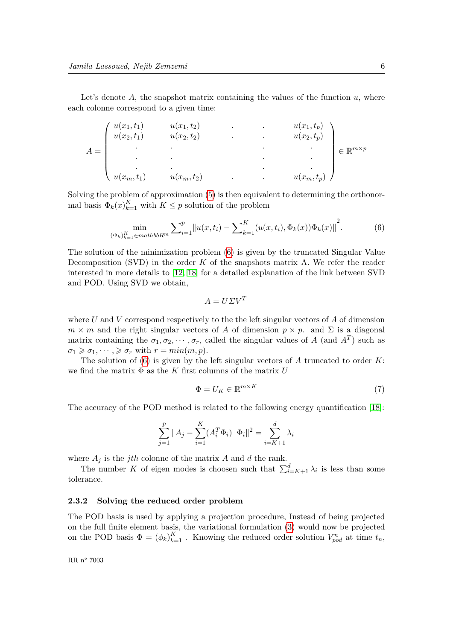Let's denote  $A$ , the snapshot matrix containing the values of the function  $u$ , where each colonne correspond to a given time:

$$
A = \begin{pmatrix} u(x_1, t_1) & u(x_1, t_2) & u(x_2, t_1) & u(x_2, t_2) \\ u(x_2, t_1) & u(x_2, t_2) & u(x_2, t_1) \\ \vdots & \vdots & \ddots & \vdots \\ u(x_m, t_1) & u(x_m, t_2) & u(x_m, t_p) \end{pmatrix} \in \mathbb{R}^{m \times p}
$$

Solving the problem of approximation [\(5\)](#page-7-0) is then equivalent to determining the orthonormal basis  $\Phi_k(x)_{k=1}^K$  with  $K \leq p$  solution of the problem

$$
\min_{(\Phi_k)_{k=1}^K \in mathbb{R}^m} \sum_{i=1}^p \|u(x, t_i) - \sum_{k=1}^K (u(x, t_i), \Phi_k(x)) \Phi_k(x)\|^2.
$$
 (6)

The solution of the minimization problem [\(6\)](#page-8-0) is given by the truncated Singular Value Decomposition (SVD) in the order *K* of the snapshots matrix A. We refer the reader interested in more details to [\[12,](#page-18-7) [18\]](#page-18-8) for a detailed explanation of the link between SVD and POD. Using SVD we obtain,

<span id="page-8-0"></span>
$$
A = U\Sigma V^T
$$

where *U* and *V* correspond respectively to the the left singular vectors of *A* of dimension  $m \times m$  and the right singular vectors of *A* of dimension  $p \times p$ . and  $\Sigma$  is a diagonal matrix containing the  $\sigma_1, \sigma_2, \cdots, \sigma_r$ , called the singular values of *A* (and *A<sup>T</sup>*) such as  $\sigma_1 \geq \sigma_1, \cdots, \geq \sigma_r$  with  $r = \min(m, p)$ .

The solution of [\(6\)](#page-8-0) is given by the left singular vectors of *A* truncated to order *K*: we find the matrix Φ as the *K* first columns of the matrix *U*

$$
\Phi = U_K \in \mathbb{R}^{m \times K} \tag{7}
$$

The accuracy of the POD method is related to the following energy quantification [\[18\]](#page-18-8):

$$
\sum_{j=1}^{p} \|A_j - \sum_{i=1}^{K} (A_i^T \Phi_i) \Phi_i\|^2 = \sum_{i=K+1}^{d} \lambda_i
$$

where  $A_j$  is the *jth* colonne of the matrix  $A$  and  $d$  the rank.

The number *K* of eigen modes is choosen such that  $\sum_{i=K+1}^{d} \lambda_i$  is less than some tolerance.

#### <span id="page-8-1"></span>**2.3.2 Solving the reduced order problem**

The POD basis is used by applying a projection procedure, Instead of being projected on the full finite element basis, the variational formulation [\(3\)](#page-7-1) would now be projected on the POD basis  $\Phi = (\phi_k)_{k=1}^K$ . Knowing the reduced order solution  $V_{pod}^n$  at time  $t_n$ ,

RR n° 7003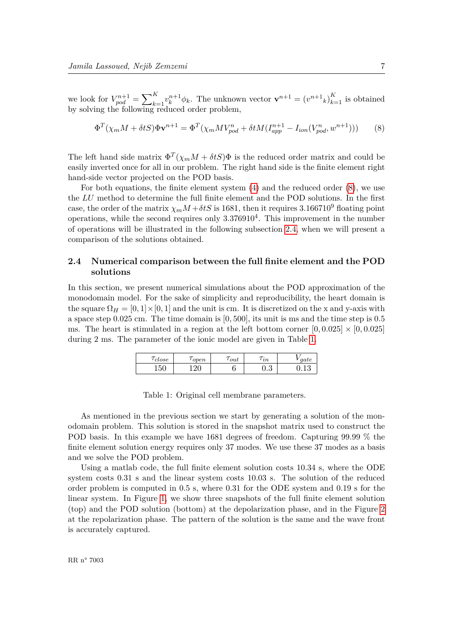we look for  $V_{pod}^{n+1} = \sum_{k=1}^{K} v_k^{n+1} \phi_k$ . The unknown vector  $\mathbf{v}^{n+1} = (v^{n+1}_k)_{k=1}^K$  is obtained by solving the following reduced order problem,

<span id="page-9-0"></span>
$$
\Phi^T(\chi_m M + \delta t S)\Phi \mathbf{v}^{n+1} = \Phi^T(\chi_m M V_{pod}^n + \delta t M (I_{app}^{n+1} - I_{ion}(V_{pod}^n, w^{n+1})))
$$
(8)

The left hand side matrix  $\Phi^T(\chi_m M + \delta t S)\Phi$  is the reduced order matrix and could be easily inverted once for all in our problem. The right hand side is the finite element right hand-side vector projected on the POD basis.

For both equations, the finite element system [\(4\)](#page-7-2) and the reduced order [\(8\)](#page-9-0), we use the *LU* method to determine the full finite element and the POD solutions. In the first case, the order of the matrix  $\chi_m M + \delta tS$  is 1681, then it requires 3.166710<sup>9</sup> floating point operations, while the second requires only 3*.*376910<sup>4</sup> . This improvement in the number of operations will be illustrated in the following subsection [2.4,](#page-9-1) when we will present a comparison of the solutions obtained.

#### <span id="page-9-1"></span>**2.4 Numerical comparison between the full finite element and the POD solutions**

<span id="page-9-2"></span>In this section, we present numerical simulations about the POD approximation of the monodomain model. For the sake of simplicity and reproducibility, the heart domain is the square  $\Omega_H = [0, 1] \times [0, 1]$  and the unit is cm. It is discretized on the x and y-axis with a space step 0.025 cm. The time domain is [0*,* 500], its unit is ms and the time step is 0.5 ms. The heart is stimulated in a region at the left bottom corner  $[0, 0.025] \times [0, 0.025]$ during 2 ms. The parameter of the ionic model are given in Table [1.](#page-9-2)

| ' close | open       | $\iota$ out | $^{\prime}$ $in$ | gate        |
|---------|------------|-------------|------------------|-------------|
| 150     | 190<br>∟∠∪ |             | $\Omega$<br>∪⊷   | 1 O<br>∪.⊥∪ |

|  |  | Table 1: Original cell membrane parameters. |
|--|--|---------------------------------------------|
|--|--|---------------------------------------------|

As mentioned in the previous section we start by generating a solution of the monodomain problem. This solution is stored in the snapshot matrix used to construct the POD basis. In this example we have 1681 degrees of freedom. Capturing 99.99 % the finite element solution energy requires only 37 modes. We use these 37 modes as a basis and we solve the POD problem.

Using a matlab code, the full finite element solution costs 10.34 s, where the ODE system costs 0.31 s and the linear system costs 10.03 s. The solution of the reduced order problem is computed in 0.5 s, where 0.31 for the ODE system and 0.19 s for the linear system. In Figure [1,](#page-10-0) we show three snapshots of the full finite element solution (top) and the POD solution (bottom) at the depolarization phase, and in the Figure [2](#page-10-1) at the repolarization phase. The pattern of the solution is the same and the wave front is accurately captured.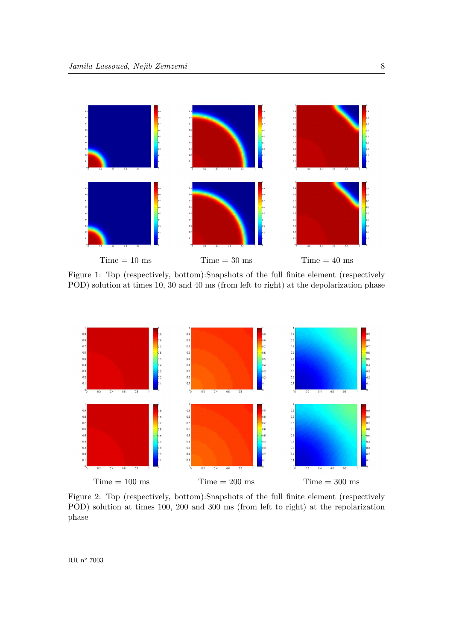<span id="page-10-0"></span>

Figure 1: Top (respectively, bottom):Snapshots of the full finite element (respectively POD) solution at times 10, 30 and 40 ms (from left to right) at the depolarization phase

<span id="page-10-1"></span>

Figure 2: Top (respectively, bottom):Snapshots of the full finite element (respectively POD) solution at times 100, 200 and 300 ms (from left to right) at the repolarization phase

RR $\,$ n° 7003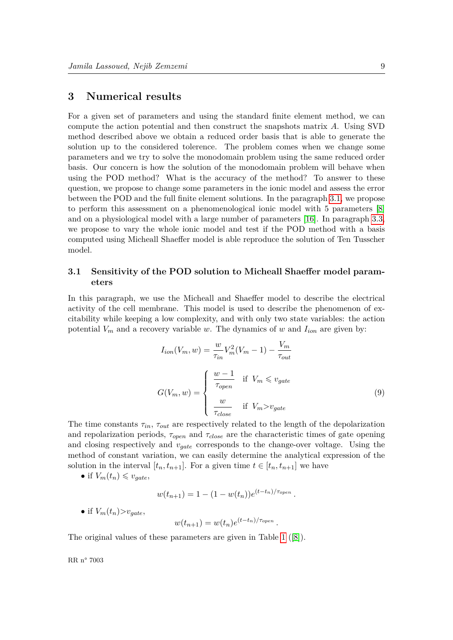# <span id="page-11-0"></span>**3 Numerical results**

For a given set of parameters and using the standard finite element method, we can compute the action potential and then construct the snapshots matrix *A*. Using SVD method described above we obtain a reduced order basis that is able to generate the solution up to the considered tolerence. The problem comes when we change some parameters and we try to solve the monodomain problem using the same reduced order basis. Our concern is how the solution of the monodomain problem will behave when using the POD method? What is the accuracy of the method? To answer to these question, we propose to change some parameters in the ionic model and assess the error between the POD and the full finite element solutions. In the paragraph [3.1,](#page-11-1) we propose to perform this assessment on a phenomenological ionic model with 5 parameters [\[8\]](#page-17-5) and on a physiological model with a large number of parameters [\[16\]](#page-18-6). In paragraph [3.3,](#page-15-0) we propose to vary the whole ionic model and test if the POD method with a basis computed using Micheall Shaeffer model is able reproduce the solution of Ten Tusscher model.

## <span id="page-11-1"></span>**3.1 Sensitivity of the POD solution to Micheall Shaeffer model parameters**

In this paragraph, we use the Micheall and Shaeffer model to describe the electrical activity of the cell membrane. This model is used to describe the phenomenon of excitability while keeping a low complexity, and with only two state variables: the action potential  $V_m$  and a recovery variable *w*. The dynamics of *w* and  $I_{ion}$  are given by:

$$
I_{ion}(V_m, w) = \frac{w}{\tau_{in}} V_m^2 (V_m - 1) - \frac{V_m}{\tau_{out}}
$$

$$
G(V_m, w) = \begin{cases} \frac{w - 1}{\tau_{open}} & \text{if } V_m \le v_{gate} \\ \frac{w}{\tau_{close}} & \text{if } V_m > v_{gate} \end{cases}
$$
(9)

The time constants  $\tau_{in}$ ,  $\tau_{out}$  are respectively related to the length of the depolarization and repolarization periods, *τopen* and *τclose* are the characteristic times of gate opening and closing respectively and *vgate* corresponds to the change-over voltage. Using the method of constant variation, we can easily determine the analytical expression of the solution in the interval  $[t_n, t_{n+1}]$ . For a given time  $t \in [t_n, t_{n+1}]$  we have

• if  $V_m(t_n) \leq v_{gate}$ ,

$$
w(t_{n+1}) = 1 - (1 - w(t_n))e^{(t - t_n)/\tau_{open}}.
$$

• if  $V_m(t_n) > v_{\text{gate}}$ 

$$
w(t_{n+1}) = w(t_n)e^{(t-t_n)/\tau_{open}}.
$$

The original values of these parameters are given in Table [1](#page-9-2) ([\[8\]](#page-17-5)).

RR n° 7003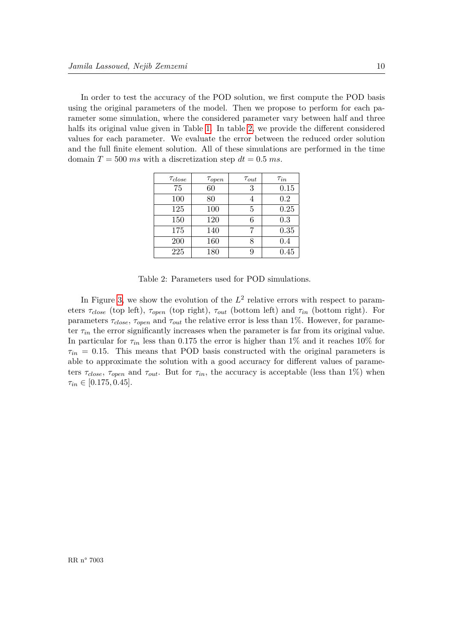<span id="page-12-0"></span>In order to test the accuracy of the POD solution, we first compute the POD basis using the original parameters of the model. Then we propose to perform for each parameter some simulation, where the considered parameter vary between half and three halfs its original value given in Table [1.](#page-9-2) In table [2,](#page-12-0) we provide the different considered values for each parameter. We evaluate the error between the reduced order solution and the full finite element solution. All of these simulations are performed in the time domain  $T = 500$  *ms* with a discretization step  $dt = 0.5$  *ms*.

| $\tau_{close}$ | $\tau_{open}$ | $\tau_{out}$ | $\tau_{in}$ |
|----------------|---------------|--------------|-------------|
| 75             | 60            | 3            | 0.15        |
| 100            | 80            | 4            | 0.2         |
| 125            | 100           | 5            | 0.25        |
| 150            | 120           | 6            | 0.3         |
| 175            | 140           | 7            | 0.35        |
| 200            | 160           | 8            | 0.4         |
| 225            | 180           | 9            | 0.45        |

Table 2: Parameters used for POD simulations.

In Figure [3,](#page-13-0) we show the evolution of the  $L^2$  relative errors with respect to parameters  $\tau_{close}$  (top left),  $\tau_{open}$  (top right),  $\tau_{out}$  (bottom left) and  $\tau_{in}$  (bottom right). For parameters  $\tau_{close}$ ,  $\tau_{open}$  and  $\tau_{out}$  the relative error is less than 1%. However, for parameter  $\tau_{in}$  the error significantly increases when the parameter is far from its original value. In particular for  $\tau_{in}$  less than 0.175 the error is higher than 1% and it reaches 10% for  $\tau_{in}$  = 0.15. This means that POD basis constructed with the original parameters is able to approximate the solution with a good accuracy for different values of parameters  $\tau_{close}$ ,  $\tau_{open}$  and  $\tau_{out}$ . But for  $\tau_{in}$ , the accuracy is acceptable (less than 1%) when  $\tau_{in} \in [0.175, 0.45].$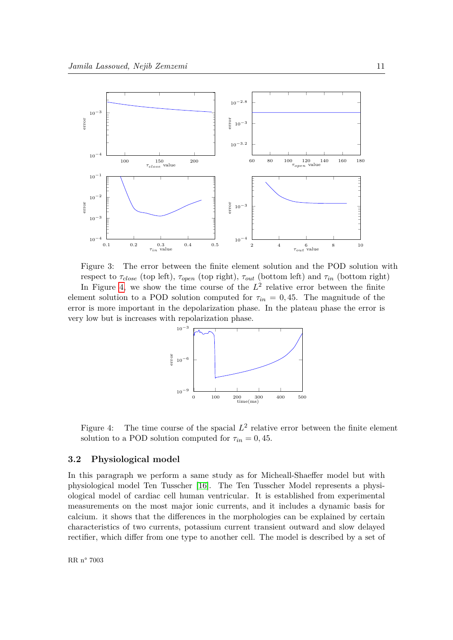

<span id="page-13-0"></span>Figure 3: The error between the finite element solution and the POD solution with respect to  $\tau_{close}$  (top left),  $\tau_{open}$  (top right),  $\tau_{out}$  (bottom left) and  $\tau_{in}$  (bottom right) In Figure [4,](#page-13-1) we show the time course of the  $L^2$  relative error between the finite

element solution to a POD solution computed for  $\tau_{in} = 0, 45$ . The magnitude of the error is more important in the depolarization phase. In the plateau phase the error is very low but is increases with repolarization phase.



<span id="page-13-1"></span>Figure 4: The time course of the spacial  $L^2$  relative error between the finite element solution to a POD solution computed for  $\tau_{in} = 0, 45$ .

#### <span id="page-13-2"></span>**3.2 Physiological model**

In this paragraph we perform a same study as for Micheall-Shaeffer model but with physiological model Ten Tusscher [\[16\]](#page-18-6). The Ten Tusscher Model represents a physiological model of cardiac cell human ventricular. It is established from experimental measurements on the most major ionic currents, and it includes a dynamic basis for calcium. it shows that the differences in the morphologies can be explained by certain characteristics of two currents, potassium current transient outward and slow delayed rectifier, which differ from one type to another cell. The model is described by a set of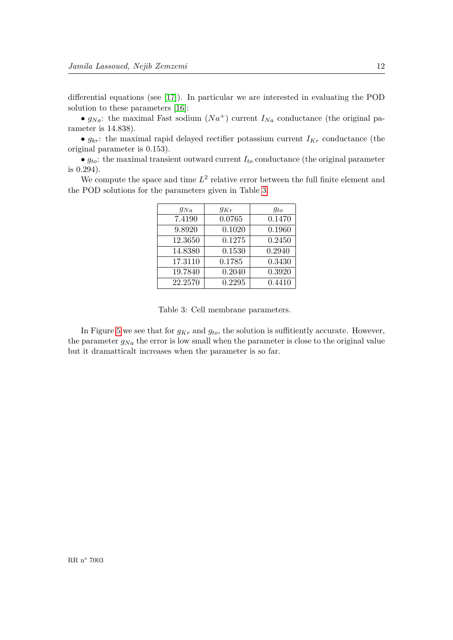differential equations (see [\[17\]](#page-18-9)). In particular we are interested in evaluating the POD solution to these parameters [\[16\]](#page-18-6):

•  $g_{Na}$ : the maximal Fast sodium  $(Na^+)$  current  $I_{Na}$  conductance (the original parameter is 14*.*838).

•  $g_{kr}$ : the maximal rapid delayed rectifier potassium current  $I_{Kr}$  conductance (the original parameter is 0*.*153).

 $\bullet$   $g_{to}$ : the maximal transient outward current  $I_{to}$  conductance (the original parameter is 0*.*294).

<span id="page-14-0"></span>We compute the space and time  $L^2$  relative error between the full finite element and the POD solutions for the parameters given in Table [3.](#page-14-0)

| $g_{Na}$ | $g_{Kr}$ | $q_{to}$ |
|----------|----------|----------|
| 7.4190   | 0.0765   | 0.1470   |
| 9.8920   | 0.1020   | 0.1960   |
| 12.3650  | 0.1275   | 0.2450   |
| 14.8380  | 0.1530   | 0.2940   |
| 17.3110  | 0.1785   | 0.3430   |
| 19.7840  | 0.2040   | 0.3920   |
| 22.2570  | 0.2295   | 0.4410   |

Table 3: Cell membrane parameters.

In Figure [5](#page-15-1) we see that for  $g_{Kr}$  and  $g_{to}$ , the solution is suffitiently accurate. However, the parameter  $g_{Na}$  the error is low small when the parameter is close to the original value but it dramatticalt increases when the parameter is so far.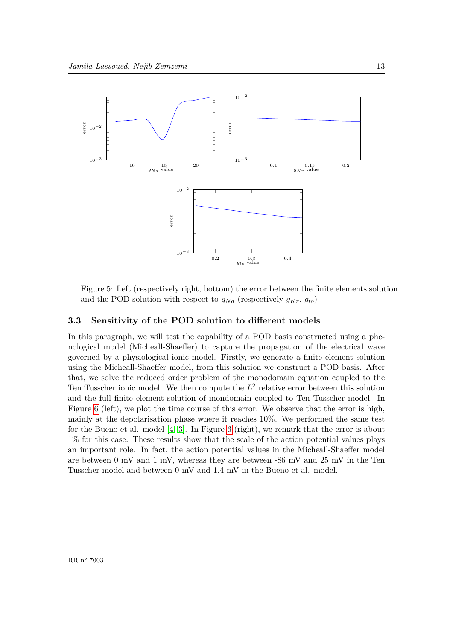

<span id="page-15-1"></span>Figure 5: Left (respectively right, bottom) the error between the finite elements solution and the POD solution with respect to  $g_{Na}$  (respectively  $g_{Kr}$ ,  $g_{to}$ )

#### <span id="page-15-0"></span>**3.3 Sensitivity of the POD solution to different models**

In this paragraph, we will test the capability of a POD basis constructed using a phenological model (Micheall-Shaeffer) to capture the propagation of the electrical wave governed by a physiological ionic model. Firstly, we generate a finite element solution using the Micheall-Shaeffer model, from this solution we construct a POD basis. After that, we solve the reduced order problem of the monodomain equation coupled to the Ten Tusscher ionic model. We then compute the  $L^2$  relative error between this solution and the full finite element solution of mondomain coupled to Ten Tusscher model. In Figure [6](#page-16-1) (left), we plot the time course of this error. We observe that the error is high, mainly at the depolarisation phase where it reaches 10%. We performed the same test for the Bueno et al. model [\[4,](#page-17-6) [3\]](#page-17-7). In Figure [6](#page-16-1) (right), we remark that the error is about 1% for this case. These results show that the scale of the action potential values plays an important role. In fact, the action potential values in the Micheall-Shaeffer model are between 0 mV and 1 mV, whereas they are between  $-86$  mV and  $25$  mV in the Ten Tusscher model and between 0 mV and 1.4 mV in the Bueno et al. model.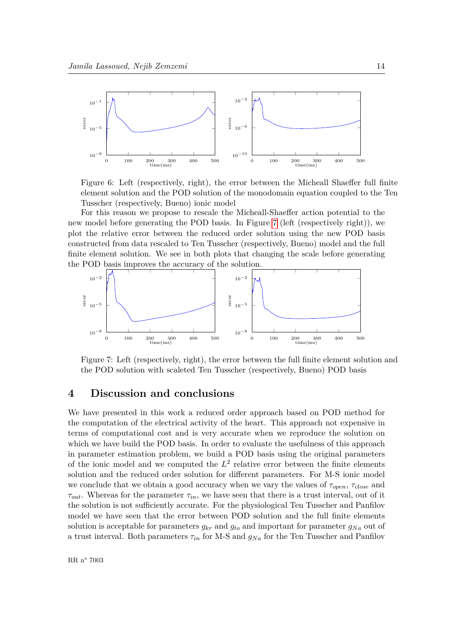

<span id="page-16-1"></span>Figure 6: Left (respectively, right), the error between the Micheall Shaeffer full finite element solution and the POD solution of the monodomain equation coupled to the Ten Tusscher (respectively, Bueno) ionic model

For this reason we propose to rescale the Micheall-Shaeffer action potential to the new model before generating the POD basis. In Figure [7](#page-16-2) (left (respectively right)), we plot the relative error between the reduced order solution using the new POD basis constructed from data rescaled to Ten Tusscher (respectively, Bueno) model and the full finite element solution. We see in both plots that changing the scale before generating the POD basis improves the accuracy of the solution.



<span id="page-16-2"></span>Figure 7: Left (respectively, right), the error between the full finite element solution and the POD solution with scaleted Ten Tusscher (respectively, Bueno) POD basis

## <span id="page-16-0"></span>**4 Discussion and conclusions**

We have presented in this work a reduced order approach based on POD method for the computation of the electrical activity of the heart. This approach not expensive in terms of computational cost and is very accurate when we reproduce the solution on which we have build the POD basis. In order to evaluate the usefulness of this approach in parameter estimation problem, we build a POD basis using the original parameters of the ionic model and we computed the  $L^2$  relative error between the finite elements solution and the reduced order solution for different parameters. For M-S ionic model we conclude that we obtain a good accuracy when we vary the values of *τopen*, *τclose* and  $\tau_{out}$ . Whereas for the parameter  $\tau_{in}$ , we have seen that there is a trust interval, out of it the solution is not sufficiently accurate. For the physiological Ten Tusscher and Panfilov model we have seen that the error between POD solution and the full finite elements solution is acceptable for parameters  $g_{kr}$  and  $g_{to}$  and important for parameter  $g_{Na}$  out of a trust interval. Both parameters  $\tau_{in}$  for M-S and  $g_{Na}$  for the Ten Tusscher and Panfilov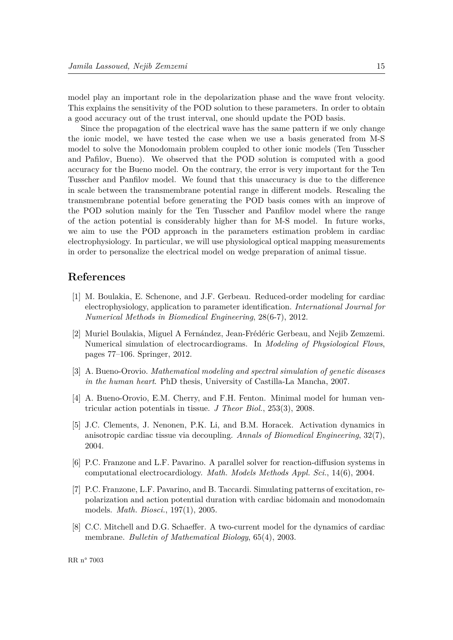model play an important role in the depolarization phase and the wave front velocity. This explains the sensitivity of the POD solution to these parameters. In order to obtain a good accuracy out of the trust interval, one should update the POD basis.

Since the propagation of the electrical wave has the same pattern if we only change the ionic model, we have tested the case when we use a basis generated from M-S model to solve the Monodomain problem coupled to other ionic models (Ten Tusscher and Pafilov, Bueno). We observed that the POD solution is computed with a good accuracy for the Bueno model. On the contrary, the error is very important for the Ten Tusscher and Panfilov model. We found that this unaccuracy is due to the difference in scale between the transmembrane potential range in different models. Rescaling the transmembrane potential before generating the POD basis comes with an improve of the POD solution mainly for the Ten Tusscher and Panfilov model where the range of the action potential is considerably higher than for M-S model. In future works, we aim to use the POD approach in the parameters estimation problem in cardiac electrophysiology. In particular, we will use physiological optical mapping measurements in order to personalize the electrical model on wedge preparation of animal tissue.

### **References**

- <span id="page-17-3"></span>[1] M. Boulakia, E. Schenone, and J.F. Gerbeau. Reduced-order modeling for cardiac electrophysiology, application to parameter identification. *International Journal for Numerical Methods in Biomedical Engineering*, 28(6-7), 2012.
- <span id="page-17-4"></span>[2] Muriel Boulakia, Miguel A Fernández, Jean-Frédéric Gerbeau, and Nejib Zemzemi. Numerical simulation of electrocardiograms. In *Modeling of Physiological Flows*, pages 77–106. Springer, 2012.
- <span id="page-17-7"></span>[3] A. Bueno-Orovio. *Mathematical modeling and spectral simulation of genetic diseases in the human heart*. PhD thesis, University of Castilla-La Mancha, 2007.
- <span id="page-17-6"></span>[4] A. Bueno-Orovio, E.M. Cherry, and F.H. Fenton. Minimal model for human ventricular action potentials in tissue. *J Theor Biol.*, 253(3), 2008.
- <span id="page-17-1"></span>[5] J.C. Clements, J. Nenonen, P.K. Li, and B.M. Horacek. Activation dynamics in anisotropic cardiac tissue via decoupling. *Annals of Biomedical Engineering*, 32(7), 2004.
- <span id="page-17-0"></span>[6] P.C. Franzone and L.F. Pavarino. A parallel solver for reaction-diffusion systems in computational electrocardiology. *Math. Models Methods Appl. Sci.*, 14(6), 2004.
- <span id="page-17-2"></span>[7] P.C. Franzone, L.F. Pavarino, and B. Taccardi. Simulating patterns of excitation, repolarization and action potential duration with cardiac bidomain and monodomain models. *Math. Biosci.*, 197(1), 2005.
- <span id="page-17-5"></span>[8] C.C. Mitchell and D.G. Schaeffer. A two-current model for the dynamics of cardiac membrane. *Bulletin of Mathematical Biology*, 65(4), 2003.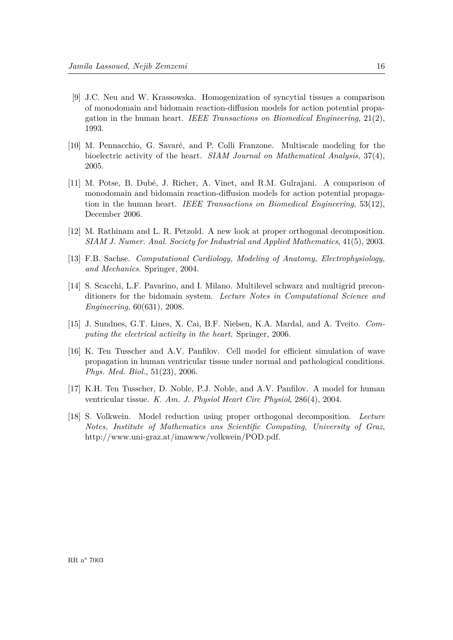- <span id="page-18-1"></span>[9] J.C. Neu and W. Krassowska. Homogenization of syncytial tissues a comparison of monodomain and bidomain reaction-diffusion models for action potential propagation in the human heart. *IEEE Transactions on Biomedical Engineering*, 21(2), 1993.
- <span id="page-18-2"></span>[10] M. Pennacchio, G. Savaré, and P. Colli Franzone. Multiscale modeling for the bioelectric activity of the heart. *SIAM Journal on Mathematical Analysis*, 37(4), 2005.
- <span id="page-18-5"></span>[11] M. Potse, B. Dub´e, J. Richer, A. Vinet, and R.M. Gulrajani. A comparison of monodomain and bidomain reaction-diffusion models for action potential propagation in the human heart. *IEEE Transactions on Biomedical Engineering*, 53(12), December 2006.
- <span id="page-18-7"></span>[12] M. Rathinam and L. R. Petzold. A new look at proper orthogonal decomposition. *SIAM J. Numer. Anal. Society for Industrial and Applied Mathematics*, 41(5), 2003.
- <span id="page-18-3"></span>[13] F.B. Sachse. *Computational Cardiology, Modeling of Anatomy, Electrophysiology, and Mechanics*. Springer, 2004.
- <span id="page-18-0"></span>[14] S. Scacchi, L.F. Pavarino, and I. Milano. Multilevel schwarz and multigrid preconditioners for the bidomain system. *Lecture Notes in Computational Science and Engineering*, 60(631), 2008.
- <span id="page-18-4"></span>[15] J. Sundnes, G.T. Lines, X. Cai, B.F. Nielsen, K.A. Mardal, and A. Tveito. *Computing the electrical activity in the heart*. Springer, 2006.
- <span id="page-18-6"></span>[16] K. Ten Tusscher and A.V. Panfilov. Cell model for efficient simulation of wave propagation in human ventricular tissue under normal and pathological conditions. *Phys. Med. Biol.*, 51(23), 2006.
- <span id="page-18-9"></span>[17] K.H. Ten Tusscher, D. Noble, P.J. Noble, and A.V. Panfilov. A model for human ventricular tissue. *K. Am. J. Physiol Heart Circ Physiol*, 286(4), 2004.
- <span id="page-18-8"></span>[18] S. Volkwein. Model reduction using proper orthogonal decomposition. *Lecture Notes, Institute of Mathematics ans Scientific Computing, University of Graz*, http://www.uni-graz.at/imawww/volkwein/POD.pdf.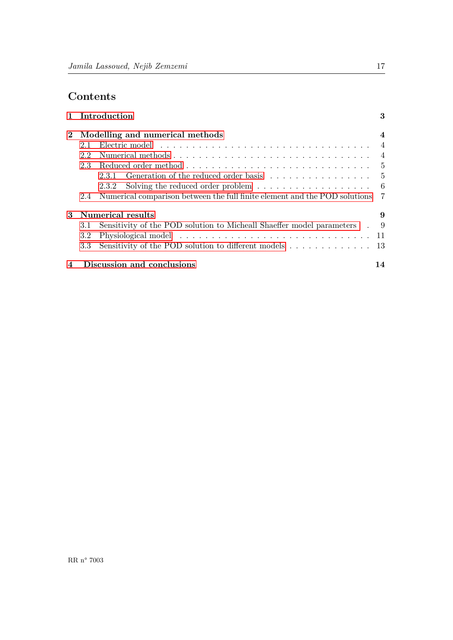# **Contents**

|                         |               | 1 Introduction                                                                                                                                                                                                                 | 3              |
|-------------------------|---------------|--------------------------------------------------------------------------------------------------------------------------------------------------------------------------------------------------------------------------------|----------------|
| $2^{\circ}$             |               | Modelling and numerical methods                                                                                                                                                                                                | $\overline{4}$ |
|                         | 2.1           | Electric model experience is a series of the series of the series of the series of the series of the series of the series of the series of the series of the series of the series of the series of the series of the series of |                |
|                         | 2.2           |                                                                                                                                                                                                                                |                |
|                         | 2.3           |                                                                                                                                                                                                                                |                |
|                         |               |                                                                                                                                                                                                                                |                |
|                         |               | Solving the reduced order problem $\dots \dots \dots \dots \dots \dots \dots$<br>2.3.2                                                                                                                                         |                |
|                         | $2.4^{\circ}$ | Numerical comparison between the full finite element and the POD solutions 7                                                                                                                                                   |                |
| 3                       |               | Numerical results                                                                                                                                                                                                              | 9              |
|                         | 3.1           | Sensitivity of the POD solution to Micheall Shaeffer model parameters . 9                                                                                                                                                      |                |
|                         | 3.2           |                                                                                                                                                                                                                                |                |
|                         | 3.3           | Sensitivity of the POD solution to different models 13                                                                                                                                                                         |                |
| $\overline{\mathbf{4}}$ |               | Discussion and conclusions                                                                                                                                                                                                     | 14             |